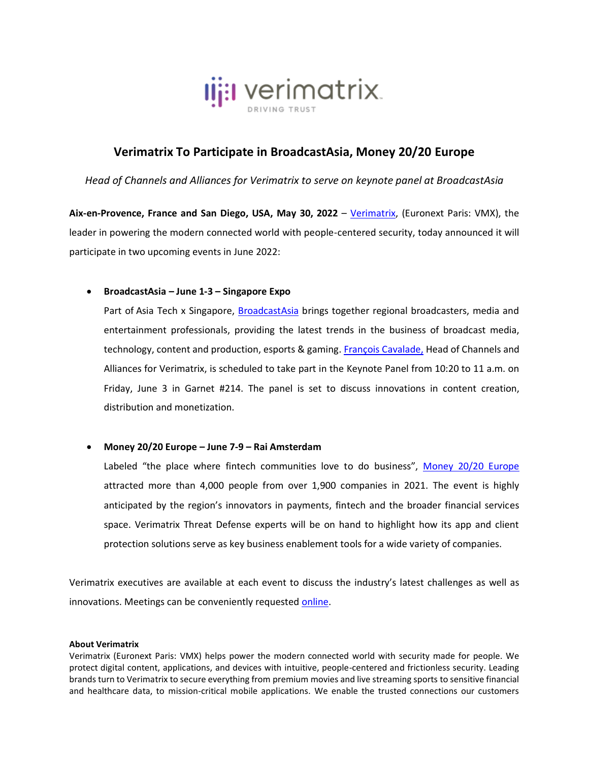

# **Verimatrix To Participate in BroadcastAsia, Money 20/20 Europe**

*Head of Channels and Alliances for Verimatrix to serve on keynote panel at BroadcastAsia*

**Aix-en-Provence, France and San Diego, USA, May 30, 2022** – [Verimatrix,](http://www.verimatrix.com/) (Euronext Paris: VMX), the leader in powering the modern connected world with people-centered security, today announced it will participate in two upcoming events in June 2022:

## • **BroadcastAsia – June 1-3 – Singapore Expo**

Part of Asia Tech x Singapore, [BroadcastAsia](https://asiatechxsg.com/broadcastasia/) brings together regional broadcasters, media and entertainment professionals, providing the latest trends in the business of broadcast media, technology, content and production, esports & gaming[. François Cavalade,](https://www.linkedin.com/in/fcavalade/) Head of Channels and Alliances for Verimatrix, is scheduled to take part in the Keynote Panel from 10:20 to 11 a.m. on Friday, June 3 in Garnet #214. The panel is set to discuss innovations in content creation, distribution and monetization.

### • **Money 20/20 Europe – June 7-9 – Rai Amsterdam**

Labeled "the place where fintech communities love to do business", [Money 20/20 Europe](https://europe.money2020.com/) attracted more than 4,000 people from over 1,900 companies in 2021. The event is highly anticipated by the region's innovators in payments, fintech and the broader financial services space. Verimatrix Threat Defense experts will be on hand to highlight how its app and client protection solutions serve as key business enablement tools for a wide variety of companies.

Verimatrix executives are available at each event to discuss the industry's latest challenges as well as innovations. Meetings can be conveniently requeste[d online.](https://www.verimatrix.com/book-meeting-event/)

#### **About Verimatrix**

Verimatrix (Euronext Paris: VMX) helps power the modern connected world with security made for people. We protect digital content, applications, and devices with intuitive, people-centered and frictionless security. Leading brands turn to Verimatrix to secure everything from premium movies and live streaming sports to sensitive financial and healthcare data, to mission-critical mobile applications. We enable the trusted connections our customers